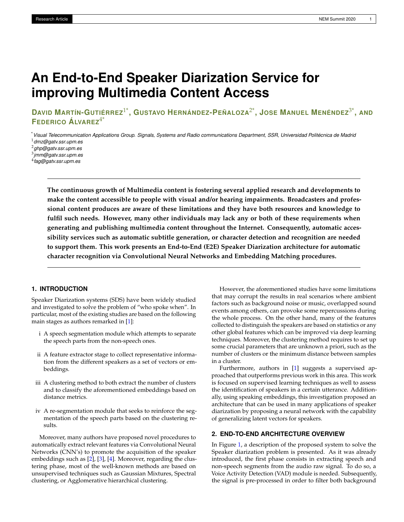# **An End-to-End Speaker Diarization Service for improving Multimedia Content Access**

DAVID MARTÍN-GUTIÉRREZ $^{1*}$ , GUSTAVO HERNÁNDEZ-PEÑALOZA $^{2*}$ , JOSE MANUEL MENÉNDEZ $^{3*}$ , AND **FEDERICO ÁLVAREZ**4\*

\**Visual Telecommunication Applications Group. Signals, Systems and Radio communications Department, SSR, Universidad Politécnica de Madrid* <sup>1</sup>*dmz@gatv.ssr.upm.es*

<sup>2</sup>*ghp@gatv.ssr.upm.es*

3 *jmm@gatv.ssr.upm.es*

4 *fag@gatv.ssr.upm.es*

**The continuous growth of Multimedia content is fostering several applied research and developments to make the content accessible to people with visual and/or hearing impairments. Broadcasters and professional content produces are aware of these limitations and they have both resources and knowledge to fulfil such needs. However, many other individuals may lack any or both of these requirements when generating and publishing multimedia content throughout the Internet. Consequently, automatic accessibility services such as automatic subtitle generation, or character detection and recognition are needed to support them. This work presents an End-to-End (E2E) Speaker Diarization architecture for automatic character recognition via Convolutional Neural Networks and Embedding Matching procedures.**

# **1. INTRODUCTION**

Speaker Diarization systems (SDS) have been widely studied and investigated to solve the problem of "who spoke when". In particular, most of the existing studies are based on the following main stages as authors remarked in [\[1\]](#page-2-0):

- i A speech segmentation module which attempts to separate the speech parts from the non-speech ones.
- ii A feature extractor stage to collect representative information from the different speakers as a set of vectors or embeddings.
- iii A clustering method to both extract the number of clusters and to classify the aforementioned embeddings based on distance metrics.
- iv A re-segmentation module that seeks to reinforce the segmentation of the speech parts based on the clustering results.

Moreover, many authors have proposed novel procedures to automatically extract relevant features via Convolutional Neural Networks (CNN's) to promote the acquisition of the speaker embeddings such as [\[2\]](#page-2-1), [\[3\]](#page-2-2), [\[4\]](#page-2-3). Moreover, regarding the clustering phase, most of the well-known methods are based on unsupervised techniques such as Gaussian Mixtures, Spectral clustering, or Agglomerative hierarchical clustering.

However, the aforementioned studies have some limitations that may corrupt the results in real scenarios where ambient factors such as background noise or music, overlapped sound events among others, can provoke some repercussions during the whole process. On the other hand, many of the features collected to distinguish the speakers are based on statistics or any other global features which can be improved via deep learning techniques. Moreover, the clustering method requires to set up some crucial parameters that are unknown a priori, such as the number of clusters or the minimum distance between samples in a cluster.

Furthermore, authors in [\[1\]](#page-2-0) suggests a supervised approached that outperforms previous work in this area. This work is focused on supervised learning techniques as well to assess the identification of speakers in a certain utterance. Additionally, using speaking embeddings, this investigation proposed an architecture that can be used in many applications of speaker diarization by proposing a neural network with the capability of generalizing latent vectors for speakers.

# **2. END-TO-END ARCHITECTURE OVERVIEW**

In Figure [1,](#page-1-0) a description of the proposed system to solve the Speaker diarization problem is presented. As it was already introduced, the first phase consists in extracting speech and non-speech segments from the audio raw signal. To do so, a Voice Activity Detection (VAD) module is needed. Subsequently, the signal is pre-processed in order to filter both background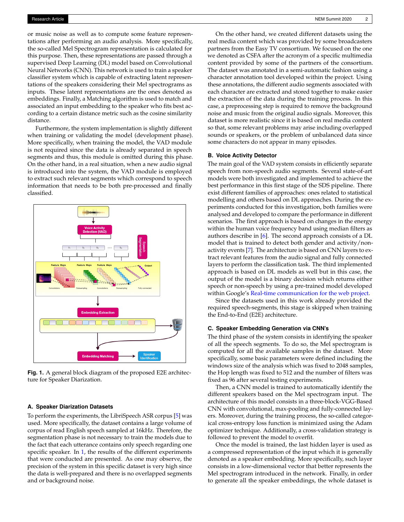or music noise as well as to compute some feature representations after performing an audio analysis. More specifically, the so-called Mel Spectrogram representation is calculated for this purpose. Then, these representations are passed through a supervised Deep Learning (DL) model based on Convolutional Neural Networks (CNN). This network is used to train a speaker classifier system which is capable of extracting latent representations of the speakers considering their Mel spectrograms as inputs. These latent representations are the ones denoted as embeddings. Finally, a Matching algorithm is used to match and associated an input embedding to the speaker who fits best according to a certain distance metric such as the cosine similarity distance.

Furthermore, the system implementation is slightly different when training or validating the model (development phase). More specifically, when training the model, the VAD module is not required since the data is already separated in speech segments and thus, this module is omitted during this phase. On the other hand, in a real situation, when a new audio signal is introduced into the system, the VAD module is employed to extract such relevant segments which correspond to speech information that needs to be both pre-processed and finally classified.

<span id="page-1-0"></span>

**Fig. 1.** A general block diagram of the proposed E2E architecture for Speaker Diarization.

#### **A. Speaker Diarization Datasets**

To perform the experiments, the LibriSpeech ASR corpus [\[5\]](#page-2-4) was used. More specifically, the dataset contains a large volume of corpus of read English speech sampled at 16kHz. Therefore, the segmentation phase is not necessary to train the models due to the fact that each utterance contains only speech regarding one specific speaker. In [1,](#page-2-5) the results of the different experiments that were conducted are presented. As one may observe, the precision of the system in this specific dataset is very high since the data is well-prepared and there is no overlapped segments and or background noise.

On the other hand, we created different datasets using the real media content which was provided by some broadcasters partners from the Easy TV consortium. We focused on the one we denoted as CSFA after the acronym of a specific multimedia content provided by some of the partners of the consortium. The dataset was annotated in a semi-automatic fashion using a character annotation tool developed within the project. Using these annotations, the different audio segments associated with each character are extracted and stored together to make easier the extraction of the data during the training process. In this case, a preprocessing step is required to remove the background noise and music from the original audio signals. Moreover, this dataset is more realistic since it is based on real media content so that, some relevant problems may arise including overlapped sounds or speakers, or the problem of unbalanced data since some characters do not appear in many episodes.

### **B. Voice Activity Detector**

The main goal of the VAD system consists in efficiently separate speech from non-speech audio segments. Several state-of-art models were both investigated and implemented to achieve the best performance in this first stage of the SDS pipeline. There exist different families of approaches: ones related to statistical modelling and others based on DL approaches. During the experiments conducted for this investigation, both families were analysed and developed to compare the performance in different scenarios. The first approach is based on changes in the energy within the human voice frequency band using median filters as authors describe in [\[6\]](#page-2-6). The second approach consists of a DL model that is trained to detect both gender and activity/nonactivity events [\[7\]](#page-2-7). The architecture is based on CNN layers to extract relevant features from the audio signal and fully connected layers to perform the classification task. The third implemented approach is based on DL models as well but in this case, the output of the model is a binary decision which returns either speech or non-speech by using a pre-trained model developed within Google's [Real-time communication for the web project.](https://webrtc.org/)

Since the datasets used in this work already provided the required speech-segments, this stage is skipped when training the End-to-End (E2E) architecture.

#### **C. Speaker Embedding Generation via CNN's**

The third phase of the system consists in identifying the speaker of all the speech segments. To do so, the Mel spectrogram is computed for all the available samples in the dataset. More specifically, some basic parameters were defined including the windows size of the analysis which was fixed to 2048 samples, the Hop length was fixed to 512 and the number of filters was fixed as 96 after several testing experiments.

Then, a CNN model is trained to automatically identify the different speakers based on the Mel spectrogram input. The architecture of this model consists in a three-block-VGG-Based CNN with convolutional, max-pooling and fully-connected layers. Moreover, during the training process, the so-called categorical cross-entropy loss function is minimized using the Adam optimizer technique. Additionally, a cross-validation strategy is followed to prevent the model to overfit.

Once the model is trained, the last hidden layer is used as a compressed representation of the input which it is generally denoted as a speaker embedding. More specifically, such layer consists in a low-dimensional vector that better represents the Mel spectrogram introduced in the network. Finally, in order to generate all the speaker embeddings, the whole dataset is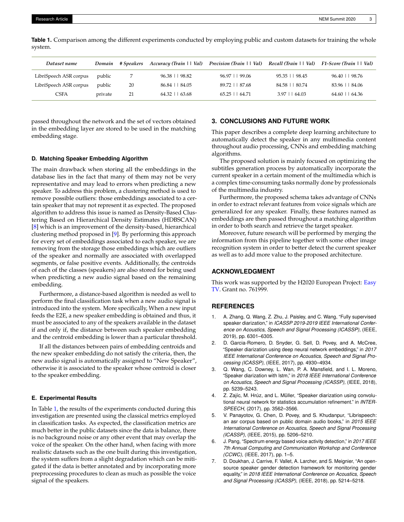| Dataset name           | Domain  | # Speakers |                     | Accuracy (Train     Val) Precision (Train     Val) Recall (Train     Val) F1-Score (Train     Val) |                  |                     |
|------------------------|---------|------------|---------------------|----------------------------------------------------------------------------------------------------|------------------|---------------------|
| LibriSpeech ASR corpus | public  |            | $96.38$     $98.82$ | $96.97 \pm 99.06$                                                                                  | 95.35     98.45  | $96.40$     $98.76$ |
| LibriSpeech ASR corpus | public  | 20         | 86.84     84.05     | 89.72     87.68                                                                                    | 84.58 1 80.74    | 83.96     84.06     |
| CSFA                   | private | 21         | $64.32$   $63.68$   | $65.25$   $64.71$                                                                                  | $3.97 \pm 64.03$ | $64.60 \pm 64.36$   |

<span id="page-2-5"></span>**Table 1.** Comparison among the different experiments conducted by employing public and custom datasets for training the whole system.

passed throughout the network and the set of vectors obtained in the embedding layer are stored to be used in the matching embedding stage.

#### **D. Matching Speaker Embedding Algorithm**

The main drawback when storing all the embeddings in the database lies in the fact that many of them may not be very representative and may lead to errors when predicting a new speaker. To address this problem, a clustering method is used to remove possible outliers: those embeddings associated to a certain speaker that may not represent it as expected. The proposed algorithm to address this issue is named as Density-Based Clustering Based on Hierarchical Density Estimates (HDBSCAN) [\[8\]](#page-3-0) which is an improvement of the density-based, hierarchical clustering method proposed in [\[9\]](#page-3-1). By performing this approach for every set of embeddings associated to each speaker, we are removing from the storage those embeddings which are outliers of the speaker and normally are associated with overlapped segments, or false positive events. Additionally, the centroids of each of the classes (speakers) are also stored for being used when predicting a new audio signal based on the remaining embedding.

Furthermore, a distance-based algorithm is needed as well to perform the final classification task when a new audio signal is introduced into the system. More specifically, When a new input feeds the E2E, a new speaker embedding is obtained and thus, it must be associated to any of the speakers available in the dataset if and only if, the distance between such speaker embedding and the centroid embedding is lower than a particular threshold.

If all the distances between pairs of embedding centroids and the new speaker embedding do not satisfy the criteria, then, the new audio signal is automatically assigned to "New Speaker", otherwise it is associated to the speaker whose centroid is closer to the speaker embedding.

#### **E. Experimental Results**

In Table [1,](#page-2-5) the results of the experiments conducted during this investigation are presented using the classical metrics employed in classification tasks. As expected, the classification metrics are much better in the public datasets since the data is balance, there is no background noise or any other event that may overlap the voice of the speaker. On the other hand, when facing with more realistic datasets such as the one built during this investigation, the system suffers from a slight degradation which can be mitigated if the data is better annotated and by incorporating more preprocessing procedures to clean as much as possible the voice signal of the speakers.

# **3. CONCLUSIONS AND FUTURE WORK**

This paper describes a complete deep learning architecture to automatically detect the speaker in any multimedia content throughout audio processing, CNNs and embedding matching algorithms.

The proposed solution is mainly focused on optimizing the subtitles generation process by automatically incorporate the current speaker in a certain moment of the multimedia which is a complex time-consuming tasks normally done by professionals of the multimedia industry.

Furthermore, the proposed schema takes advantage of CNNs in order to extract relevant features from voice signals which are generalized for any speaker. Finally, these features named as embeddings are then passed throughout a matching algorithm in order to both search and retrieve the target speaker.

Moreover, future research will be performed by merging the information from this pipeline together with some other image recognition system in order to better detect the current speaker as well as to add more value to the proposed architecture.

# **ACKNOWLEDGMENT**

This work was supported by the H2020 European Project: [Easy](https://easytvproject.eu/) [TV.](https://easytvproject.eu/) Grant no. 761999.

# **REFERENCES**

- <span id="page-2-0"></span>1. A. Zhang, Q. Wang, Z. Zhu, J. Paisley, and C. Wang, "Fully supervised speaker diarization," in *ICASSP 2019-2019 IEEE International Conference on Acoustics, Speech and Signal Processing (ICASSP),* (IEEE, 2019), pp. 6301–6305.
- <span id="page-2-1"></span>2. D. Garcia-Romero, D. Snyder, G. Sell, D. Povey, and A. McCree, "Speaker diarization using deep neural network embeddings," in *2017 IEEE International Conference on Acoustics, Speech and Signal Processing (ICASSP),* (IEEE, 2017), pp. 4930–4934.
- <span id="page-2-2"></span>3. Q. Wang, C. Downey, L. Wan, P. A. Mansfield, and I. L. Moreno, "Speaker diarization with lstm," in *2018 IEEE International Conference on Acoustics, Speech and Signal Processing (ICASSP),* (IEEE, 2018), pp. 5239–5243.
- <span id="page-2-3"></span>4. Z. Zajíc, M. Hrúz, and L. Müller, "Speaker diarization using convolutional neural network for statistics accumulation refinement." in *INTER-SPEECH,* (2017), pp. 3562–3566.
- <span id="page-2-4"></span>5. V. Panayotov, G. Chen, D. Povey, and S. Khudanpur, "Librispeech: an asr corpus based on public domain audio books," in *2015 IEEE International Conference on Acoustics, Speech and Signal Processing (ICASSP),* (IEEE, 2015), pp. 5206–5210.
- <span id="page-2-6"></span>6. J. Pang, "Spectrum energy based voice activity detection," in *2017 IEEE 7th Annual Computing and Communication Workshop and Conference (CCWC),* (IEEE, 2017), pp. 1–5.
- <span id="page-2-7"></span>7. D. Doukhan, J. Carrive, F. Vallet, A. Larcher, and S. Meignier, "An opensource speaker gender detection framework for monitoring gender equality," in *2018 IEEE International Conference on Acoustics, Speech and Signal Processing (ICASSP),* (IEEE, 2018), pp. 5214–5218.